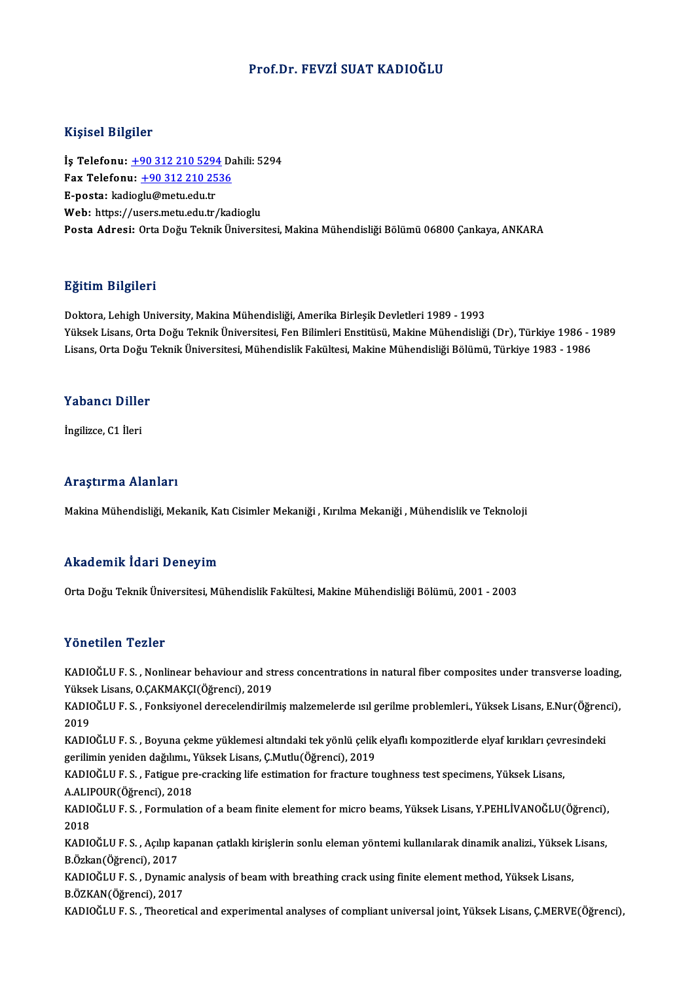# Prof.Dr. FEVZİ SUAT KADIOĞLU

### Kişisel Bilgiler

İş Telefonu: +90 312 210 5294 Dahili: 5294 1133001 2115101<br>İş Telefonu: <u>+90 312 210 5294</u> Da<br>Fax Telefonu: <u>+90 312 210 2536</u><br>Fansta: kadiesku@metu.edu.tr İş Telefonu: <u>+90 312 210 5294</u><br>Fax Telefonu: <u>+90 312 210 25</u><br>E-posta: kad[iog](tel:+90 312 210 5294)[lu@metu.edu.tr](tel:+90 312 210 2536)<br>Web: bttps://users.metu.edu.tr Fax Telefonu: <u>+90 312 210 2536</u><br>E-posta: kadioglu@metu.edu.tr<br>Web: https://users.metu.edu.tr/kadioglu<br>Posta Adresi: Orta Deču Telmik Üniversi E-posta: kadioglu@metu.edu.tr<br>Web: https://users.metu.edu.tr/kadioglu<br>Posta Adresi: Orta Doğu Teknik Üniversitesi, Makina Mühendisliği Bölümü 06800 Çankaya, ANKARA

### Eğitim Bilgileri

Doktora, Lehigh University, Makina Mühendisliği, Amerika Birleşik Devletleri 1989 - 1993 25. saman 2 segresi<br>Doktora, Lehigh University, Makina Mühendisliği, Amerika Birleşik Devletleri 1989 - 1993<br>Yüksek Lisans, Orta Doğu Teknik Üniversitesi, Fen Bilimleri Enstitüsü, Makine Mühendisliği (Dr), Türkiye 1986<br>Lis Doktora, Lehigh University, Makina Mühendisliği, Amerika Birleşik Devletleri 1989 - 1993<br>Yüksek Lisans, Orta Doğu Teknik Üniversitesi, Fen Bilimleri Enstitüsü, Makine Mühendisliği (Dr), Türkiye 1986 -<br>Lisans, Orta Doğu Tek Lisans, Orta Doğu Teknik Üniversitesi, Mühendislik Fakültesi, Makine Mühendisliği Bölümü, Türkiye 1983 - 1986<br>Yabancı Diller

İngilizce, C1 İleri

### Araştırma Alanları

Makina Mühendisliği, Mekanik, Katı Cisimler Mekaniği , Kırılma Mekaniği , Mühendislik ve Teknoloji

### Akademik İdari Deneyim

Orta Doğu Teknik Üniversitesi, Mühendislik Fakültesi, Makine Mühendisliği Bölümü, 2001 - 2003

### Yönetilen Tezler

Yönetilen Tezler<br>KADIOĞLU F.S., Nonlinear behaviour and stress concentrations in natural fiber composites under transverse loading,<br>Yükask Lisane, O.CAKMAKCI(Öğrensi), 2010 Yüksek<br>KADIOĞLU F. S. , Nonlinear behaviour and st<br>Yüksek Lisans, O.ÇAKMAKÇI(Öğrenci), 2019<br>KADIOĞLU F. S., Fonksiyonal darasalandirilə KADIOĞLU F. S. , Nonlinear behaviour and stress concentrations in natural fiber composites under transverse loading,<br>Yüksek Lisans, O.ÇAKMAKÇI(Öğrenci), 2019<br>KADIOĞLU F. S. , Fonksiyonel derecelendirilmiş malzemelerde ısıl

Yüksek Lisans, O.ÇAKMAKÇI(Öğrenci), 2019<br>KADIOĞLU F. S. , Fonksiyonel derecelendirilı<br>2019 KADIOĞLUF.S., Fonksiyonel derecelendirilmiş malzemelerde ısıl gerilme problemleri., Yüksek Lisans, E.Nur(Öğrenci),

2019<br>KADIOĞLU F. S. , Boyuna çekme yüklemesi altındaki tek yönlü çelik<br>gerilimin yeniden dağılımı., Yüksek Lisans, Ç.Mutlu(Öğrenci), 2019<br>KADIOĞLU F. S., Fatigue pre erasking life estimation for fresture te KADIOĞLU F. S. , Boyuna çekme yüklemesi altındaki tek yönlü çelik elyaflı kompozitlerde elyaf kırıkları çevresindeki<br>gerilimin yeniden dağılımı., Yüksek Lisans, Ç.Mutlu(Öğrenci), 2019<br>KADIOĞLU F. S. , Fatigue pre-cracking

gerilimin yeniden dağılımı., '<br>KADIOĞLU F. S. , Fatigue pre<br>A.ALIPOUR(Öğrenci), 2018<br>KADIOĞLU E. S., Formulatic KADIOĞLU F. S. , Fatigue pre-cracking life estimation for fracture toughness test specimens, Yüksek Lisans,<br>A.ALIPOUR(Öğrenci), 2018<br>KADIOĞLU F. S. , Formulation of a beam finite element for micro beams, Yüksek Lisans, Y.P

A.ALII<br>KADIC<br>2018<br>KADIC KADIOĞLU F. S. , Formulation of a beam finite element for micro beams, Yüksek Lisans, Y.PEHLİVANOĞLU(Öğrenci),<br>2018<br>KADIOĞLU F. S. , Açılıp kapanan çatlaklı kirişlerin sonlu eleman yöntemi kullanılarak dinamik analizi., Yü

2018<br>KADIOĞLU F. S. , Açılıp ka<br>B.Özkan(Öğrenci), 2017<br>KADIOĞLU E. S. Dynami KADIOĞLU F. S. , Açılıp kapanan çatlaklı kirişlerin sonlu eleman yöntemi kullanılarak dinamik analizi., Yüksek<br>B.Özkan(Öğrenci), 2017<br>KADIOĞLU F. S. , Dynamic analysis of beam with breathing crack using finite element meth

B.Özkan(Öğrenci), 2017<br>KADIOĞLU F. S. , Dynamic analysis of beam with breathing crack using finite element method, Yüksek Lisans,<br>B.ÖZKAN(Öğrenci), 2017

KADIOĞLUF.S., Theoretical and experimental analyses of compliant universal joint, Yüksek Lisans, Ç.MERVE(Öğrenci),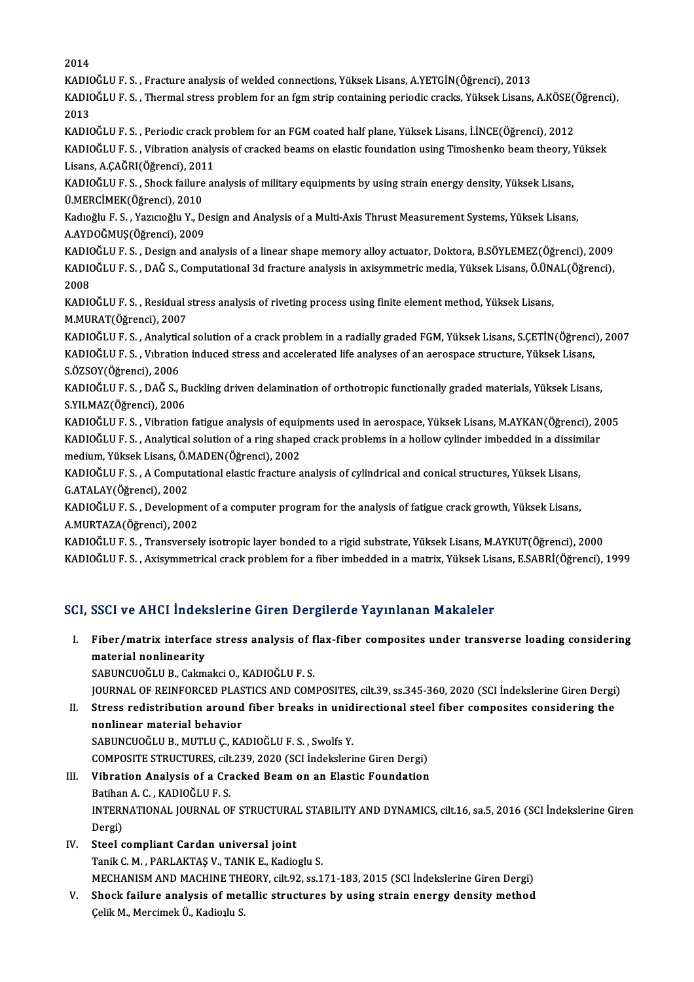2014 2014<br>KADIOĞLU F. S. , Fracture analysis of welded connections, Yüksek Lisans, A.YETGİN(Öğrenci), 2013<br>KADIOĞLU F. S., Thormal stress problem for an fam strip senteining periodis sreske Vülsek Lisans KADIOĞLU F. S. , Thermal stress problem for an fgm strip containing periodic cracks, Yüksek Lisans, A.KÖSE(Öğrenci),<br>2013 KADI<mark>(</mark><br>KADI(<br>2013 KADIOĞLU F. S. , Thermal stress problem for an fgm strip containing periodic cracks, Yüksek Lisans, A.KÖSE((2013)<br>2013<br>KADIOĞLU F. S. , Periodic crack problem for an FGM coated half plane, Yüksek Lisans, İ.İNCE(Öğrenci), 2 2013<br>KADIOĞLU F. S. , Periodic crack problem for an FGM coated half plane, Yüksek Lisans, İ.İNCE(Öğrenci), 2012<br>KADIOĞLU F. S. , Vibration analysis of cracked beams on elastic foundation using Timoshenko beam theory, Yükse KADIOĞLU F. S. , Periodic crack <sub>I</sub><br>KADIOĞLU F. S. , Vibration analy<br>Lisans, A.ÇAĞRI(Öğrenci), 2011<br>KADIOĞLU F. S. Shock failure al KADIOĞLU F. S. , Vibration analysis of cracked beams on elastic foundation using Timoshenko beam theory, '<br>Lisans, A.ÇAĞRI(Öğrenci), 2011<br>KADIOĞLU F. S. , Shock failure analysis of military equipments by using strain energ Lisans, A.ÇAĞRI(Öğrenci), 2011<br>KADIOĞLU F. S. , Shock failure analysis of military equipments by using strain energy density, Yüksek Lisans,<br>Ü.MERCİMEK(Öğrenci), 2010 KADIOĞLU F. S. , Shock failure analysis of military equipments by using strain energy density, Yüksek Lisans,<br>Ü.MERCİMEK(Öğrenci), 2010<br>Kadıoğlu F. S. , Yazıcıoğlu Y., Design and Analysis of a Multi-Axis Thrust Measurement Ü.MERCİMEK(Öğrenci), 2010<br>Kadıoğlu F. S. , Yazıcıoğlu Y., De<br>A.AYDOĞMUŞ(Öğrenci), 2009<br>KADIOĞLU E. S. Desismanday Kadıoğlu F. S. , Yazıcıoğlu Y., Design and Analysis of a Multi-Axis Thrust Measurement Systems, Yüksek Lisans,<br>A.AYDOĞMUŞ(Öğrenci), 2009<br>KADIOĞLU F. S. , Design and analysis of a linear shape memory alloy actuator, Doktora A.AYDOĞMUŞ(Öğrenci), 2009<br>KADIOĞLU F. S. , Design and analysis of a linear shape memory alloy actuator, Doktora, B.SÖYLEMEZ(Öğrenci), 2009<br>KADIOĞLU F. S. , DAĞ S., Computational 3d fracture analysis in axisymmetric media, KADI<mark>(</mark><br>KADI(<br>2008<br>KADI( KADIOĞLU F. S. , DAĞ S., Computational 3d fracture analysis in axisymmetric media, Yüksek Lisans, Ö.ÜN.<br>2008<br>KADIOĞLU F. S. , Residual stress analysis of riveting process using finite element method, Yüksek Lisans,<br>M.MURAT 2008<br>KADIOĞLU F. S. , Residual stress analysis of riveting process using finite element method, Yüksek Lisans,<br>M.MURAT(Öğrenci), 2007 KADIOĞLU F. S. , Residual stress analysis of riveting process using finite element method, Yüksek Lisans,<br>M.MURAT(Öğrenci), 2007<br>KADIOĞLU F. S. , Analytical solution of a crack problem in a radially graded FGM, Yüksek Lisa M.MURAT(Öğrenci), 2007<br>KADIOĞLU F. S. , Analytical solution of a crack problem in a radially graded FGM, Yüksek Lisans, S.ÇETİN(Öğrenci<br>KADIOĞLU F. S. , Vıbration induced stress and accelerated life analyses of an aerospac KADIOĞLU F. S. , Analytic<br>KADIOĞLU F. S. , Vıbratio<br>S.ÖZSOY(Öğrenci), 2006<br>KADIOĞLU E. S. , DAĞ S. J KADIOĞLU F. S. , Vıbration induced stress and accelerated life analyses of an aerospace structure, Yüksek Lisans,<br>S.ÖZSOY(Öğrenci), 2006<br>KADIOĞLU F. S. , DAĞ S., Buckling driven delamination of orthotropic functionally gra S.ÖZSOY(Öğrenci), 2006<br>KADIOĞLU F. S. , DAĞ S., B<br>S.YILMAZ(Öğrenci), 2006<br>KADIOĞLU E.S., Vihration KADIOĞLU F. S. , DAĞ S., Buckling driven delamination of orthotropic functionally graded materials, Yüksek Lisans,<br>S.YILMAZ(Öğrenci), 2006<br>KADIOĞLU F. S. , Vibration fatigue analysis of equipments used in aerospace, Yüksek S.YILMAZ(Öğrenci), 2006<br>KADIOĞLU F. S. , Vibration fatigue analysis of equipments used in aerospace, Yüksek Lisans, M.AYKAN(Öğrenci), 2<br>KADIOĞLU F. S. , Analytical solution of a ring shaped crack problems in a hollow cylin KADIOĞLU F. S. , Vibration fatigue analysis of equip<br>KADIOĞLU F. S. , Analytical solution of a ring shape<br>medium, Yüksek Lisans, Ö.MADEN(Öğrenci), 2002<br>KADIOĞLU F. S. - A Computational elastis frasture a KADIOĞLU F. S. , Analytical solution of a ring shaped crack problems in a hollow cylinder imbedded in a dissim<br>medium, Yüksek Lisans, Ö.MADEN(Öğrenci), 2002<br>KADIOĞLU F. S. , A Computational elastic fracture analysis of cyl medium, Yüksek Lisans, Ö.MADEN(Öğrenci), 2002<br>KADIOĞLU F. S. , A Computational elastic fracture analysis of cylindrical and conical structures, Yüksek Lisans,<br>G.ATALAY(Öğrenci), 2002 KADIOĞLU F. S. , A Computational elastic fracture analysis of cylindrical and conical structures, Yüksek Lisans,<br>G.ATALAY(Öğrenci), 2002<br>KADIOĞLU F. S. , Development of a computer program for the analysis of fatigue crack G.ATALAY(Öğrenci), 2002<br>KADIOĞLU F. S. , Developmer<br>A.MURTAZA(Öğrenci), 2002<br>KADIOĞLU E. S., Transversel KADIOĞLU F. S. , Development of a computer program for the analysis of fatigue crack growth, Yüksek Lisans,<br>A.MURTAZA(Öğrenci), 2002<br>KADIOĞLU F. S. , Transversely isotropic layer bonded to a rigid substrate, Yüksek Lisans, A.MURTAZA(Öğrenci), 2002<br>KADIOĞLU F. S. , Transversely isotropic layer bonded to a rigid substrate, Yüksek Lisans, M.AYKUT(Öğrenci), 2000<br>KADIOĞLU F. S. , Axisymmetrical crack problem for a fiber imbedded in a matrix, Yüks KADIOĞLU F. S. , Axisymmetrical crack problem for a fiber imbedded in a matrix, Yüksek Lisans, E.SABRİ(Öğrenci), 1999<br>SCI, SSCI ve AHCI İndekslerine Giren Dergilerde Yayınlanan Makaleler

I. Fiber/matrix interface stress analysis of flax-fiber composites under transverse loading considering **EXAMPLE INTERNATION**<br>Fiber/matrix interface<br>material nonlinearity<br>SARUNCUOČUUR Colm Fiber/matrix interface stress analysis of f<br>material nonlinearity<br>SABUNCUOĞLU B., Cakmakci O., KADIOĞLU F. S.<br>JOUPNAL OE PEINEOPCED BLASTICS AND COM material nonlinearity<br>SABUNCUOĞLU B., Cakmakci O., KADIOĞLU F. S.<br>JOURNAL OF REINFORCED PLASTICS AND COMPOSITES, cilt.39, ss.345-360, 2020 (SCI İndekslerine Giren Dergi)

- SABUNCUOĞLU B., Cakmakci O., KADIOĞLU F. S.<br>JOURNAL OF REINFORCED PLASTICS AND COMPOSITES, cilt.39, ss.345-360, 2020 (SCI İndekslerine Giren Dergi)<br>II. Stress redistribution around fiber breaks in unidirectional steel fibe **JOURNAL OF REINFORCED PLAS<br>Stress redistribution around<br>nonlinear material behavior<br>SARUNCUOČLU R. MUTU U.C. KA** Stress redistribution around fiber breaks in unid<br>nonlinear material behavior<br>SABUNCUOĞLU B., MUTLU Ç., KADIOĞLU F. S. , Swolfs Y.<br>COMPOSITE STRUCTURES, silt 229, 2020 (SSL İndeksleri nonlinear material behavior<br>SABUNCUOĞLU B., MUTLU Ç., KADIOĞLU F. S. , Swolfs Y.<br>COMPOSITE STRUCTURES, cilt.239, 2020 (SCI İndekslerine Giren Dergi)<br>Vihnation Analysis of a Craslad Beam on an Elastis Foundation SABUNCUOĞLU B., MUTLU Ç., KADIOĞLU F. S. , Swolfs Y.<br>COMPOSITE STRUCTURES, cilt.239, 2020 (SCI İndekslerine Giren Dergi)<br>III. Vibration Analysis of a Cracked Beam on an Elastic Foundation<br>Patihan A G. KADIOĞLU F. S
- COMPOSITE STRUCTURES, cilt<br>Vibration Analysis of a Cra<br>Batihan A. C. , KADIOĞLU F. S.<br>INTERNATIONAL JOURNAL OL Vibration Analysis of a Cracked Beam on an Elastic Foundation<br>Batihan A. C. , KADIOĞLU F. S.<br>INTERNATIONAL JOURNAL OF STRUCTURAL STABILITY AND DYNAMICS, cilt.16, sa.5, 2016 (SCI İndekslerine Giren<br>Dergi) Batihar<br>INTERI<br>Dergi)<br>Staal a IV. Steel compliant Cardan universal joint
- Tanik C. M., PARLAKTAŞ V., TANIK E., Kadioglu S. Steel compliant Cardan universal joint<br>Tanik C. M. , PARLAKTAŞ V., TANIK E., Kadioglu S.<br>MECHANISM AND MACHINE THEORY, cilt.92, ss.171-183, 2015 (SCI İndekslerine Giren Dergi)<br>Shack failure analysis of metallis structures Tanik C. M. , PARLAKTAŞ V., TANIK E., Kadioglu S.<br>MECHANISM AND MACHINE THEORY, cilt.92, ss.171-183, 2015 (SCI İndekslerine Giren Dergi)<br>V. Shock failure analysis of metallic structures by using strain energy density metho
- MECHANISM AND MACHINE THI<br><mark>Shock failure analysis of met</mark><br>Çelik M., Mercimek Ü., Kadio<sub>l</sub>lu S.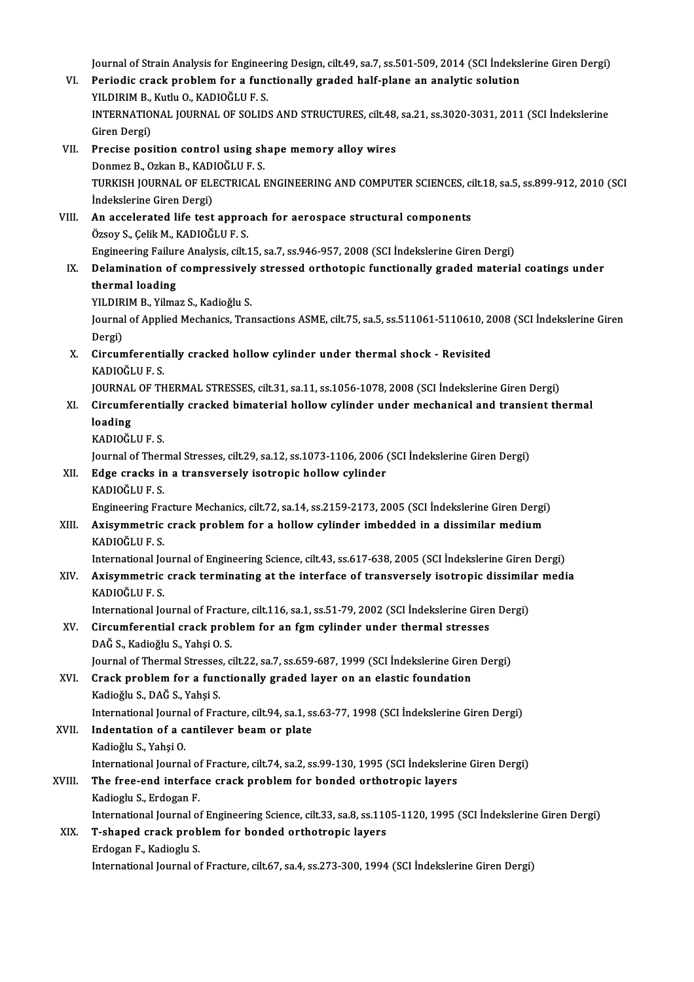Journal of Strain Analysis for Engineering Design, cilt.49, sa.7, ss.501-509, 2014 (SCI İndekslerine Giren Dergi) Journal of Strain Analysis for Engineering Design, cilt.49, sa.7, ss.501-509, 2014 (SCI İndeksl<br>VI. Periodic crack problem for a functionally graded half-plane an analytic solution<br>VILDIPIM B. Kuth: O. KADIOČLU E S Journal of Strain Analysis for Enginee<br>Periodic crack problem for a fund<br>YILDIRIM B., Kutlu O., KADIOĞLU F. S.<br>INTERNATIONAL JOURNAL OE SOLID INTERNATIONAL JOURNAL OF SOLIDS AND STRUCTURES, cilt.48, sa.21, ss.3020-3031, 2011 (SCI İndekslerine<br>Giren Dergi) YILDIRIM B., Kutlu O., KADIOĞLU F. S. VII. Precise position control using shape memory alloy wires Giren Dergi)<br>Precise position control using sh<br>Donmez B., Ozkan B., KADIOĞLU F. S.<br>TURKISH JOURNAL OF ELECTRICAL I TURKISH JOURNAL OF ELECTRICAL ENGINEERING AND COMPUTER SCIENCES, cilt.18, sa.5, ss.899-912, 2010 (SCI<br>İndekslerine Giren Dergi) Donmez B., Ozkan B., KAD<br>TURKISH JOURNAL OF ELI<br>İndekslerine Giren Dergi)<br>An accolorated life test TURKISH JOURNAL OF ELECTRICAL ENGINEERING AND COMPUTER SCIENCES, ci<br>
indekslerine Giren Dergi)<br>
VIII. An accelerated life test approach for aerospace structural components<br>
Özeev S. Celik M. KADIOČLU E. S. İndekslerine Giren Dergi)<br>An accelerated life test appro<br>Özsoy S., Çelik M., KADIOĞLU F. S.<br>Engineering Feilure Analysis silt î An accelerated life test approach for aerospace structural components<br>Özsoy S., Çelik M., KADIOĞLU F. S.<br>Engineering Failure Analysis, cilt.15, sa.7, ss.946-957, 2008 (SCI İndekslerine Giren Dergi)<br>Delemination of compress Özsoy S., Çelik M., KADIOĞLU F. S.<br>Engineering Failure Analysis, cilt.15, sa.7, ss.946-957, 2008 (SCI İndekslerine Giren Dergi)<br>IX. Delamination of compressively stressed orthotopic functionally graded material coating thermal loading Delamination of compressively<br>thermal loading<br>YILDIRIM B., Yilmaz S., Kadioğlu S.<br>Journal of Annlied Mechanics Troy Journal of Applied Mechanics, Transactions ASME, cilt.75, sa.5, ss.511061-5110610, 2008 (SCI İndekslerine Giren<br>Dergi) YILDIR<br>Journal<br>Dergi)<br>Gireur Journal of Applied Mechanics, Transactions ASME, cilt.75, sa.5, ss.511061-5110610, 2<br>Dergi)<br>X. Circumferentially cracked hollow cylinder under thermal shock - Revisited<br>KADIOČULE S. Dergi)<br><mark>Circumferenti</mark><br>KADIOĞLU F. S.<br>JOUPNAL OF TE Circumferentially cracked hollow cylinder under thermal shock - Revisited<br>KADIOĞLU F. S.<br>JOURNAL OF THERMAL STRESSES, cilt.31, sa.11, ss.1056-1078, 2008 (SCI İndekslerine Giren Dergi)<br>Gireumferentially spasked bimeterial h KADIOĞLU F. S.<br>JOURNAL OF THERMAL STRESSES, cilt.31, sa.11, ss.1056-1078, 2008 (SCI İndekslerine Giren Dergi)<br>XI. Circumferentially cracked bimaterial hollow cylinder under mechanical and transient thermal<br>loading **JOURNAL**<br>Circumf<br>loading<br>KADIOČI KADIOĞLUF.S. loading<br>KADIOĞLU F. S.<br>Journal of Thermal Stresses, cilt.29, sa.12, ss.1073-1106, 2006 (SCI İndekslerine Giren Dergi)<br>Edge eraska in a transversely isetrenis bellew sylinder XII. Edge cracks in a transversely isotropic hollow cylinder<br>KADIOĞLU F.S. Journal of Theri<br><mark>Edge cracks ir</mark><br>KADIOĞLU F. S.<br>Engineering Ers Edge cracks in a transversely isotropic hollow cylinder<br>KADIOĞLU F. S.<br>Engineering Fracture Mechanics, cilt.72, sa.14, ss.2159-2173, 2005 (SCI İndekslerine Giren Dergi)<br>Avisummetris svask prablem for a bollow sulinder imha KADIOĞLU F. S.<br>Engineering Fracture Mechanics, cilt.72, sa.14, ss.2159-2173, 2005 (SCI İndekslerine Giren Dergi<br>XIII. Axisymmetric crack problem for a hollow cylinder imbedded in a dissimilar medium<br>KADIOĞLU E.S Engineering Fra<br>**Axisymmetric**<br>KADIOĞLU F. S.<br>International Io Axisymmetric crack problem for a hollow cylinder imbedded in a dissimilar medium<br>KADIOĞLU F. S.<br>International Journal of Engineering Science, cilt.43, ss.617-638, 2005 (SCI İndekslerine Giren Dergi)<br>Avisummetris svaak term KADIOĞLU F. S.<br>International Journal of Engineering Science, cilt.43, ss.617-638, 2005 (SCI İndekslerine Giren Dergi)<br>XIV. Axisymmetric crack terminating at the interface of transversely isotropic dissimilar media<br>KADI International Jo<br><mark>Axisymmetric</mark><br>KADIOĞLU F. S.<br>International Io Axisymmetric crack terminating at the interface of transversely isotropic dissimila<br>KADIOĞLU F. S.<br>International Journal of Fracture, cilt.116, sa.1, ss.51-79, 2002 (SCI İndekslerine Giren Dergi)<br>Gireumforential erask prob KADIOĞLU F. S.<br>International Journal of Fracture, cilt.116, sa.1, ss.51-79, 2002 (SCI İndekslerine Girential crack problem for an fgm cylinder under thermal stresses<br>DAČ S. Kodioğlu S. Vobei Q. S. International Journal of Fract<br>Circumferential crack prob<br>DAĞ S., Kadioğlu S., Yahşi O. S.<br>Journal of Thormal Strosses, c XV. Circumferential crack problem for an fgm cylinder under thermal stresses<br>DAĞ S., Kadioğlu S., Yahşi O. S.<br>Journal of Thermal Stresses, cilt.22, sa.7, ss.659-687, 1999 (SCI İndekslerine Giren Dergi) XVI. Crack problem for a functionally graded layer on an elastic foundation Kadioǧlu S.,DAĞS.,YahşiS. Crack problem for a functionally graded layer on an elastic foundation<br>Kadioğlu S., DAĞ S., Yahşi S.<br>International Journal of Fracture, cilt.94, sa.1, ss.63-77, 1998 (SCI İndekslerine Giren Dergi)<br>Indentation of a santilev XVII. Indentation of a cantilever beam or plate<br>Kadioğlu S., Yahşi O. International Journa<br><mark>Indentation of a c</mark><br>Kadioğlu S., Yahşi O.<br>International Iourna Indentation of a cantilever beam or plate<br>Kadioğlu S., Yahşi O.<br>International Journal of Fracture, cilt.74, sa.2, ss.99-130, 1995 (SCI İndekslerine Giren Dergi)<br>The free end interfese sreek preblem for banded erthetrenis l XVIII. The free-end interface crack problem for bonded orthotropic layers<br>Kadioglu S., Erdogan F. International Journal of<br>The free-end interface<br>Kadioglu S., Erdogan F.<br>International Journal of The free-end interface crack problem for bonded orthotropic layers<br>Kadioglu S., Erdogan F.<br>International Journal of Engineering Science, cilt.33, sa.8, ss.1105-1120, 1995 (SCI İndekslerine Giren Dergi)<br>T. shaned sveek preh XIX. T-shaped crack problem for bonded orthotropic layers<br>Erdogan F., Kadioglu S. International Journal of<br>T-shaped crack prob<br>Erdogan F., Kadioglu S.<br>International Iournal of International Journalof Fracture, cilt.67, sa.4, ss.273-300,1994 (SCI İndekslerineGirenDergi)